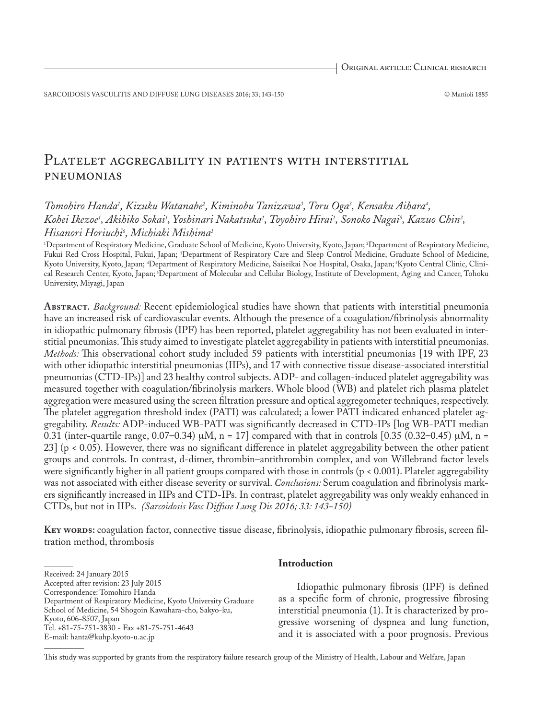SARCOIDOSIS VASCULITIS AND DIFFUSE LUNG DISEASES 2016; 33; 143-150 © Mattioli 1885

# PLATELET AGGREGABILITY IN PATIENTS WITH INTERSTITIAL pneumonias

# *Tomohiro Handa1 , Kizuku Watanabe2 , Kiminobu Tanizawa3 , Toru Oga3 , Kensaku Aihara4 , Kohei Ikezoe1 , Akihiko Sokai1 , Yoshinari Nakatsuka1 , Toyohiro Hirai1 , Sonoko Nagai5 , Kazuo Chin3 , Hisanori Horiuchi6 , Michiaki Mishima1*

1 Department of Respiratory Medicine, Graduate School of Medicine, Kyoto University, Kyoto, Japan; 2 Department of Respiratory Medicine, Fukui Red Cross Hospital, Fukui, Japan; <sup>3</sup>Department of Respiratory Care and Sleep Control Medicine, Graduate School of Medicine, Kyoto University, Kyoto, Japan; 4 Department of Respiratory Medicine, Saiseikai Noe Hospital, Osaka, Japan; 5Kyoto Central Clinic, Clinical Research Center, Kyoto, Japan; 6Department of Molecular and Cellular Biology, Institute of Development, Aging and Cancer, Tohoku University, Miyagi, Japan

**Abstract.** *Background:* Recent epidemiological studies have shown that patients with interstitial pneumonia have an increased risk of cardiovascular events. Although the presence of a coagulation/fibrinolysis abnormality in idiopathic pulmonary fibrosis (IPF) has been reported, platelet aggregability has not been evaluated in interstitial pneumonias. This study aimed to investigate platelet aggregability in patients with interstitial pneumonias. *Methods:* This observational cohort study included 59 patients with interstitial pneumonias [19 with IPF, 23 with other idiopathic interstitial pneumonias (IIPs), and 17 with connective tissue disease-associated interstitial pneumonias (CTD-IPs)] and 23 healthy control subjects. ADP- and collagen-induced platelet aggregability was measured together with coagulation/fibrinolysis markers. Whole blood (WB) and platelet rich plasma platelet aggregation were measured using the screen filtration pressure and optical aggregometer techniques, respectively. The platelet aggregation threshold index (PATI) was calculated; a lower PATI indicated enhanced platelet aggregability. *Results:* ADP-induced WB-PATI was significantly decreased in CTD-IPs [log WB-PATI median 0.31 (inter-quartile range, 0.07–0.34)  $\mu$ M, n = 17] compared with that in controls [0.35 (0.32–0.45)  $\mu$ M, n = 23] (p < 0.05). However, there was no significant difference in platelet aggregability between the other patient groups and controls. In contrast, d-dimer, thrombin–antithrombin complex, and von Willebrand factor levels were significantly higher in all patient groups compared with those in controls (p < 0.001). Platelet aggregability was not associated with either disease severity or survival. *Conclusions:* Serum coagulation and fibrinolysis markers significantly increased in IIPs and CTD-IPs. In contrast, platelet aggregability was only weakly enhanced in CTDs, but not in IIPs. *(Sarcoidosis Vasc Diffuse Lung Dis 2016; 33: 143-150)*

**Key words:** coagulation factor, connective tissue disease, fibrinolysis, idiopathic pulmonary fibrosis, screen filtration method, thrombosis

Received: 24 January 2015 Accepted after revision: 23 July 2015 Correspondence: Tomohiro Handa Department of Respiratory Medicine, Kyoto University Graduate School of Medicine, 54 Shogoin Kawahara-cho, Sakyo-ku, Kyoto, 606-8507, Japan Tel. +81-75-751-3830 - Fax +81-75-751-4643 E-mail: hanta@kuhp.kyoto-u.ac.jp

# **Introduction**

Idiopathic pulmonary fibrosis (IPF) is defined as a specific form of chronic, progressive fibrosing interstitial pneumonia (1). It is characterized by progressive worsening of dyspnea and lung function, and it is associated with a poor prognosis. Previous

This study was supported by grants from the respiratory failure research group of the Ministry of Health, Labour and Welfare, Japan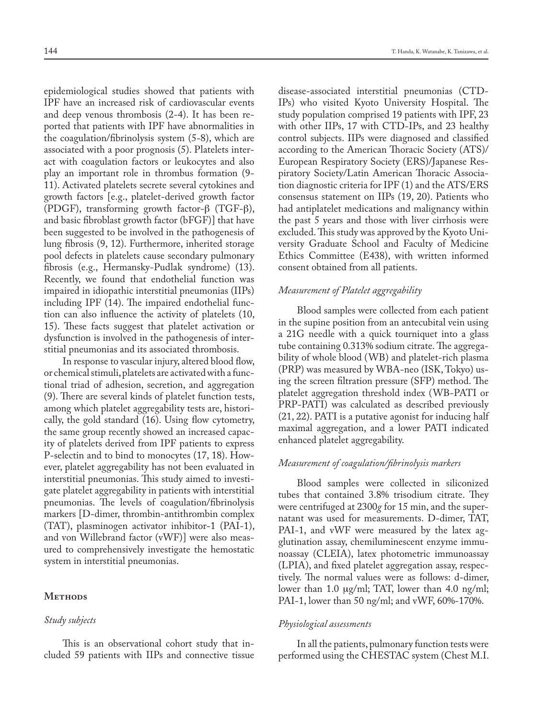epidemiological studies showed that patients with IPF have an increased risk of cardiovascular events and deep venous thrombosis (2-4). It has been reported that patients with IPF have abnormalities in the coagulation/fibrinolysis system (5-8), which are associated with a poor prognosis (5). Platelets interact with coagulation factors or leukocytes and also play an important role in thrombus formation (9- 11). Activated platelets secrete several cytokines and growth factors [e.g., platelet-derived growth factor (PDGF), transforming growth factor- $\beta$  (TGF- $\beta$ ), and basic fibroblast growth factor (bFGF)] that have been suggested to be involved in the pathogenesis of lung fibrosis (9, 12). Furthermore, inherited storage pool defects in platelets cause secondary pulmonary fibrosis (e.g., Hermansky-Pudlak syndrome) (13). Recently, we found that endothelial function was impaired in idiopathic interstitial pneumonias (IIPs) including IPF (14). The impaired endothelial function can also influence the activity of platelets (10, 15). These facts suggest that platelet activation or dysfunction is involved in the pathogenesis of interstitial pneumonias and its associated thrombosis.

In response to vascular injury, altered blood flow, or chemical stimuli, platelets are activated with a functional triad of adhesion, secretion, and aggregation (9). There are several kinds of platelet function tests, among which platelet aggregability tests are, historically, the gold standard (16). Using flow cytometry, the same group recently showed an increased capacity of platelets derived from IPF patients to express P-selectin and to bind to monocytes (17, 18). However, platelet aggregability has not been evaluated in interstitial pneumonias. This study aimed to investigate platelet aggregability in patients with interstitial pneumonias. The levels of coagulation/fibrinolysis markers [D-dimer, thrombin-antithrombin complex (TAT), plasminogen activator inhibitor-1 (PAI-1), and von Willebrand factor (vWF)] were also measured to comprehensively investigate the hemostatic system in interstitial pneumonias.

# METHODS

# *Study subjects*

This is an observational cohort study that included 59 patients with IIPs and connective tissue

disease-associated interstitial pneumonias (CTD-IPs) who visited Kyoto University Hospital. The study population comprised 19 patients with IPF, 23 with other IIPs, 17 with CTD-IPs, and 23 healthy control subjects. IIPs were diagnosed and classified according to the American Thoracic Society (ATS)/ European Respiratory Society (ERS)/Japanese Respiratory Society/Latin American Thoracic Association diagnostic criteria for IPF (1) and the ATS/ERS consensus statement on IIPs (19, 20). Patients who had antiplatelet medications and malignancy within the past 5 years and those with liver cirrhosis were excluded. This study was approved by the Kyoto University Graduate School and Faculty of Medicine Ethics Committee (E438), with written informed consent obtained from all patients.

# *Measurement of Platelet aggregability*

Blood samples were collected from each patient in the supine position from an antecubital vein using a 21G needle with a quick tourniquet into a glass tube containing 0.313% sodium citrate. The aggregability of whole blood (WB) and platelet-rich plasma (PRP) was measured by WBA-neo (ISK, Tokyo) using the screen filtration pressure (SFP) method. The platelet aggregation threshold index (WB-PATI or PRP-PATI) was calculated as described previously (21, 22). PATI is a putative agonist for inducing half maximal aggregation, and a lower PATI indicated enhanced platelet aggregability.

# *Measurement of coagulation/fibrinolysis markers*

Blood samples were collected in siliconized tubes that contained 3.8% trisodium citrate. They were centrifuged at 2300*g* for 15 min, and the supernatant was used for measurements. D-dimer, TAT, PAI-1, and vWF were measured by the latex agglutination assay, chemiluminescent enzyme immunoassay (CLEIA), latex photometric immunoassay (LPIA), and fixed platelet aggregation assay, respectively. The normal values were as follows: d-dimer, lower than 1.0 µg/ml; TAT, lower than 4.0 ng/ml; PAI-1, lower than 50 ng/ml; and vWF, 60%-170%.

# *Physiological assessments*

In all the patients, pulmonary function tests were performed using the CHESTAC system (Chest M.I.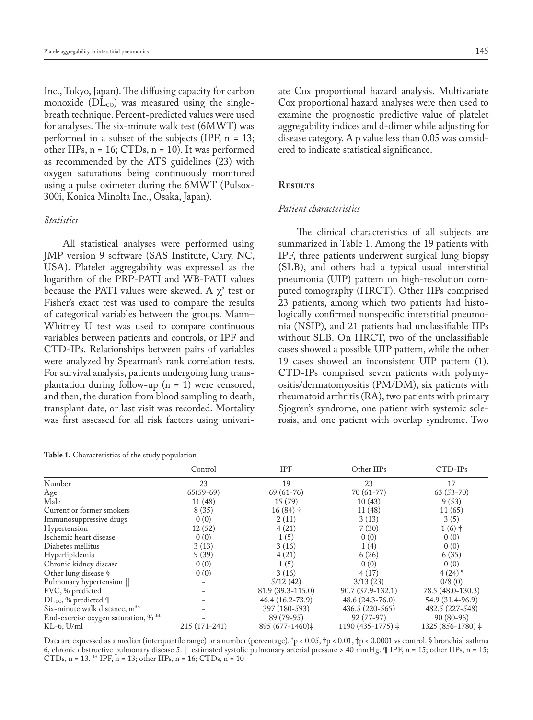Inc., Tokyo, Japan). The diffusing capacity for carbon monoxide  $(DL_{CO})$  was measured using the singlebreath technique. Percent-predicted values were used for analyses. The six-minute walk test (6MWT) was performed in a subset of the subjects (IPF, n = 13; other IIPs, n = 16; CTDs, n = 10). It was performed as recommended by the ATS guidelines (23) with oxygen saturations being continuously monitored using a pulse oximeter during the 6MWT (Pulsox-300i, Konica Minolta Inc., Osaka, Japan).

### *Statistics*

All statistical analyses were performed using JMP version 9 software (SAS Institute, Cary, NC, USA). Platelet aggregability was expressed as the logarithm of the PRP-PATI and WB-PATI values because the PATI values were skewed. A  $\chi^{\scriptscriptstyle 2}$  test or Fisher's exact test was used to compare the results of categorical variables between the groups. Mann– Whitney U test was used to compare continuous variables between patients and controls, or IPF and CTD-IPs. Relationships between pairs of variables were analyzed by Spearman's rank correlation tests. For survival analysis, patients undergoing lung transplantation during follow-up  $(n = 1)$  were censored, and then, the duration from blood sampling to death, transplant date, or last visit was recorded. Mortality was first assessed for all risk factors using univari-

**Table 1.** Characteristics of the study population

ate Cox proportional hazard analysis. Multivariate Cox proportional hazard analyses were then used to examine the prognostic predictive value of platelet aggregability indices and d-dimer while adjusting for disease category. A p value less than 0.05 was considered to indicate statistical significance.

# **Results**

# *Patient characteristics*

The clinical characteristics of all subjects are summarized in Table 1. Among the 19 patients with IPF, three patients underwent surgical lung biopsy (SLB), and others had a typical usual interstitial pneumonia (UIP) pattern on high-resolution computed tomography (HRCT). Other IIPs comprised 23 patients, among which two patients had histologically confirmed nonspecific interstitial pneumonia (NSIP), and 21 patients had unclassifiable IIPs without SLB. On HRCT, two of the unclassifiable cases showed a possible UIP pattern, while the other 19 cases showed an inconsistent UIP pattern (1). CTD-IPs comprised seven patients with polymyositis/dermatomyositis (PM/DM), six patients with rheumatoid arthritis (RA), two patients with primary Sjogren's syndrome, one patient with systemic sclerosis, and one patient with overlap syndrome. Two

|                                            | Control       | IPF               | Other IIPs         | $CTD-IPs$          |
|--------------------------------------------|---------------|-------------------|--------------------|--------------------|
| Number                                     | 23            | 19                | 23                 | 17                 |
| Age                                        | $65(59-69)$   | $69(61-76)$       | $70(61-77)$        | $63(53-70)$        |
| Male                                       | 11(48)        | 15(79)            | 10(43)             | 9(53)              |
| Current or former smokers                  | 8(35)         | $16(84)$ †        | 11(48)             | 11(65)             |
| Immunosuppressive drugs                    | 0(0)          | 2(11)             | 3(13)              | 3(5)               |
| Hypertension                               | 12(52)        | 4(21)             | 7(30)              | $1(6)$ †           |
| Ischemic heart disease                     | 0(0)          | 1(5)              | 0(0)               | 0(0)               |
| Diabetes mellitus                          | 3(13)         | 3(16)             | 1(4)               | 0(0)               |
| Hyperlipidemia                             | 9(39)         | 4(21)             | 6(26)              | 6(35)              |
| Chronic kidney disease                     | 0(0)          | 1(5)              | 0(0)               | 0(0)               |
| Other lung disease §                       | 0(0)          | 3(16)             | 4(17)              | $4(24)$ *          |
| Pulmonary hypertension                     |               | 5/12(42)          | 3/13(23)           | 0/8(0)             |
| FVC, % predicted                           |               | 81.9 (39.3-115.0) | 90.7 (37.9-132.1)  | 78.5 (48.0-130.3)  |
| $\text{DL}_{\text{CO}}$ , % predicted $\P$ |               | $46.4(16.2-73.9)$ | 48.6 (24.3-76.0)   | 54.9 (31.4-96.9)   |
| Six-minute walk distance, m <sup>**</sup>  |               | 397 (180-593)     | 436.5 (220-565)    | 482.5 (227-548)    |
| End-exercise oxygen saturation, %**        |               | 89 (79-95)        | 92 (77-97)         | $90(80-96)$        |
| $KL-6$ , $U/ml$                            | 215 (171-241) | 895 (677-1460)‡   | $1190(435-1775)$ ‡ | $1325(856-1780)$ ‡ |

Data are expressed as a median (interquartile range) or a number (percentage). \*p < 0.05, †p < 0.01, ‡p < 0.0001 vs control. § bronchial asthma 6, chronic obstructive pulmonary disease 5. || estimated systolic pulmonary arterial pressure > 40 mmHg. ¶ IPF, n = 15; other IIPs, n = 15; CTDs, n = 13. \*\* IPF, n = 13; other IIPs, n = 16; CTDs, n = 10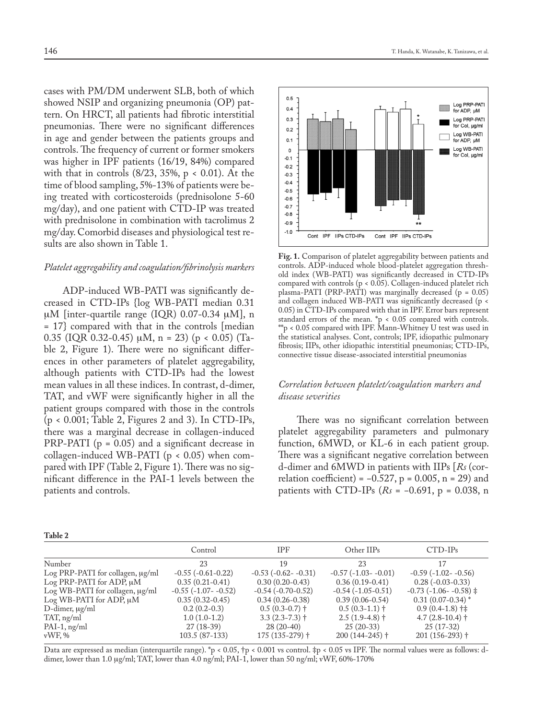cases with PM/DM underwent SLB, both of which showed NSIP and organizing pneumonia (OP) pattern. On HRCT, all patients had fibrotic interstitial pneumonias. There were no significant differences in age and gender between the patients groups and controls. The frequency of current or former smokers was higher in IPF patients (16/19, 84%) compared with that in controls  $(8/23, 35\%, p < 0.01)$ . At the time of blood sampling, 5%-13% of patients were being treated with corticosteroids (prednisolone 5-60 mg/day), and one patient with CTD-IP was treated with prednisolone in combination with tacrolimus 2 mg/day. Comorbid diseases and physiological test results are also shown in Table 1.

#### *Platelet aggregability and coagulation/fibrinolysis markers*

ADP-induced WB-PATI was significantly decreased in CTD-IPs {log WB-PATI median 0.31  $\mu$ M [inter-quartile range (IQR) 0.07-0.34  $\mu$ M], n = 17} compared with that in the controls [median 0.35 (IQR 0.32-0.45)  $\mu$ M, n = 23) (p < 0.05) (Table 2, Figure 1). There were no significant differences in other parameters of platelet aggregability, although patients with CTD-IPs had the lowest mean values in all these indices. In contrast, d-dimer, TAT, and vWF were significantly higher in all the patient groups compared with those in the controls (p < 0.001; Table 2, Figures 2 and 3). In CTD-IPs, there was a marginal decrease in collagen-induced PRP-PATI ( $p = 0.05$ ) and a significant decrease in collagen-induced WB-PATI (p < 0.05) when compared with IPF (Table 2, Figure 1). There was no significant difference in the PAI-1 levels between the patients and controls.

| I<br>۰,<br>۰, |
|---------------|
|---------------|



**Fig. 1.** Comparison of platelet aggregability between patients and controls. ADP-induced whole blood-platelet aggregation threshold index (WB-PATI) was significantly decreased in CTD-IPs compared with controls (p < 0.05). Collagen-induced platelet rich plasma-PATI (PRP-PATI) was marginally decreased ( $p = 0.05$ ) and collagen induced WB-PATI was significantly decreased (p < 0.05) in CTD-IPs compared with that in IPF. Error bars represent standard errors of the mean. \*p < 0.05 compared with controls.  $^{**}$ p < 0.05 compared with IPF. Mann-Whitney U test was used in the statistical analyses. Cont, controls; IPF, idiopathic pulmonary fibrosis; IIPs, other idiopathic interstitial pneumonias; CTD-IPs, connective tissue disease-associated interstitial pneumonias

# *Correlation between platelet/coagulation markers and disease severities*

There was no significant correlation between platelet aggregability parameters and pulmonary function, 6MWD, or KL-6 in each patient group. There was a significant negative correlation between d-dimer and 6MWD in patients with IIPs [*Rs* (correlation coefficient) =  $-0.527$ , p = 0.005, n = 29) and patients with CTD-IPs (*Rs* = −0.691, p = 0.038, n

|                                       | Control                     | <b>IPF</b>               | Other IIPs             | $CTD-IPs$                              |
|---------------------------------------|-----------------------------|--------------------------|------------------------|----------------------------------------|
| Number                                | 23                          | 19                       | 23                     |                                        |
| Log PRP-PATI for collagen, $\mu$ g/ml | $-0.55$ $(-0.61 - 0.22)$    | $-0.53$ $(-0.62 - 0.31)$ | $-0.57(-1.03 - -0.01)$ | $-0.59$ ( $-1.02$ $-0.56$ )            |
| Log PRP-PATI for ADP, $\mu$ M         | $0.35(0.21-0.41)$           | $0.30(0.20-0.43)$        | $0.36(0.19-0.41)$      | $0.28(-0.03-0.33)$                     |
| Log WB-PATI for collagen, $\mu$ g/ml  | $-0.55$ ( $-1.07 - -0.52$ ) | $-0.54(-0.70-0.52)$      | $-0.54(-1.05-0.51)$    | $-0.73$ ( $-1.06$ $-0.58$ ) $\ddagger$ |
| $Log WB-PATI$ for ADP, $\mu M$        | $0.35(0.32-0.45)$           | $0.34(0.26-0.38)$        | $0.39(0.06-0.54)$      | $0.31(0.07-0.34)$ <sup>*</sup>         |
| $D$ -dimer, $\mu$ g/ml                | $0.2(0.2-0.3)$              | $0.5(0.3-0.7)$ †         | $0.5(0.3-1.1)$ †       | $0.9(0.4-1.8)$ †‡                      |
| TAT, ng/ml                            | $1.0(1.0-1.2)$              | $3.3(2.3-7.3)$ †         | $2.5(1.9-4.8)$ †       | $4.7(2.8-10.4)$ †                      |
| $PAI-1$ , ng/ml                       | $27(18-39)$                 | $28(20-40)$              | $25(20-33)$            | $25(17-32)$                            |
| $vWF$ , %                             | 103.5 (87-133)              | $175(135-279)$ †         | $200(144 - 245)$ †     | $201(156-293)$ †                       |

Data are expressed as median (interquartile range). \*p < 0.05, †p < 0.001 vs control. ‡p < 0.05 vs IPF. The normal values were as follows: ddimer, lower than 1.0 µg/ml; TAT, lower than 4.0 ng/ml; PAI-1, lower than 50 ng/ml; vWF, 60%-170%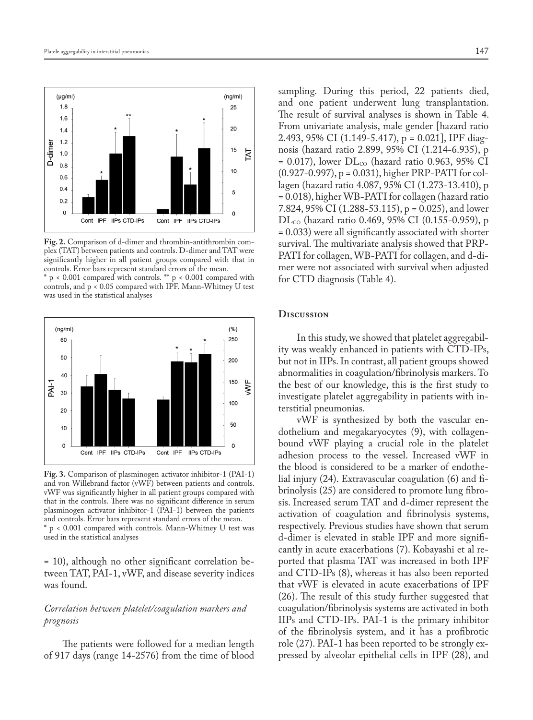

**Fig. 2.** Comparison of d-dimer and thrombin-antithrombin complex (TAT) between patients and controls. D-dimer and TAT were significantly higher in all patient groups compared with that in controls. Error bars represent standard errors of the mean.

\* p < 0.001 compared with controls. \*\* p < 0.001 compared with controls, and  $p < 0.05$  compared with IPF. Mann-Whitney U test was used in the statistical analyses



**Fig. 3.** Comparison of plasminogen activator inhibitor-1 (PAI-1) and von Willebrand factor (vWF) between patients and controls. vWF was significantly higher in all patient groups compared with that in the controls. There was no significant difference in serum plasminogen activator inhibitor-1 (PAI-1) between the patients and controls. Error bars represent standard errors of the mean. p < 0.001 compared with controls. Mann-Whitney U test was used in the statistical analyses

= 10), although no other significant correlation between TAT, PAI-1, vWF, and disease severity indices was found.

# *Correlation between platelet/coagulation markers and prognosis*

The patients were followed for a median length of 917 days (range 14-2576) from the time of blood

sampling. During this period, 22 patients died, and one patient underwent lung transplantation. The result of survival analyses is shown in Table 4. From univariate analysis, male gender [hazard ratio 2.493, 95% CI (1.149-5.417), p = 0.021], IPF diagnosis (hazard ratio 2.899, 95% CI (1.214-6.935), p  $= 0.017$ ), lower  $DL_{CO}$  (hazard ratio 0.963, 95% CI (0.927-0.997), p = 0.031), higher PRP-PATI for collagen (hazard ratio 4.087, 95% CI (1.273-13.410), p = 0.018), higher WB-PATI for collagen (hazard ratio 7.824, 95% CI (1.288-53.115), p = 0.025), and lower  $\rm{DL_{co}}$  (hazard ratio 0.469, 95% CI (0.155-0.959), p = 0.033) were all significantly associated with shorter survival. The multivariate analysis showed that PRP-PATI for collagen, WB-PATI for collagen, and d-dimer were not associated with survival when adjusted for CTD diagnosis (Table 4).

# **Discussion**

In this study, we showed that platelet aggregability was weakly enhanced in patients with CTD-IPs, but not in IIPs. In contrast, all patient groups showed abnormalities in coagulation/fibrinolysis markers. To the best of our knowledge, this is the first study to investigate platelet aggregability in patients with interstitial pneumonias.

vWF is synthesized by both the vascular endothelium and megakaryocytes (9), with collagenbound vWF playing a crucial role in the platelet adhesion process to the vessel. Increased vWF in the blood is considered to be a marker of endothelial injury (24). Extravascular coagulation (6) and fibrinolysis (25) are considered to promote lung fibrosis. Increased serum TAT and d-dimer represent the activation of coagulation and fibrinolysis systems, respectively. Previous studies have shown that serum d-dimer is elevated in stable IPF and more significantly in acute exacerbations (7). Kobayashi et al reported that plasma TAT was increased in both IPF and CTD-IPs (8), whereas it has also been reported that vWF is elevated in acute exacerbations of IPF (26). The result of this study further suggested that coagulation/fibrinolysis systems are activated in both IIPs and CTD-IPs. PAI-1 is the primary inhibitor of the fibrinolysis system, and it has a profibrotic role (27). PAI-1 has been reported to be strongly expressed by alveolar epithelial cells in IPF (28), and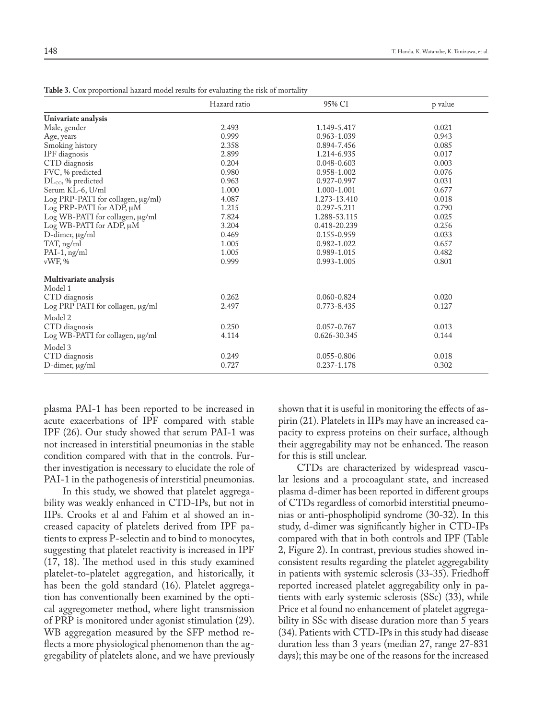|                                   | o            |                 |         |
|-----------------------------------|--------------|-----------------|---------|
|                                   | Hazard ratio | 95% CI          | p value |
| Univariate analysis               |              |                 |         |
| Male, gender                      | 2.493        | 1.149-5.417     | 0.021   |
| Age, years                        | 0.999        | 0.963-1.039     | 0.943   |
| Smoking history                   | 2.358        | 0.894-7.456     | 0.085   |
| IPF diagnosis                     | 2.899        | 1.214-6.935     | 0.017   |
| CTD diagnosis                     | 0.204        | 0.048-0.603     | 0.003   |
| FVC, % predicted                  | 0.980        | 0.958-1.002     | 0.076   |
| $DL_{CO}$ , % predicted           | 0.963        | 0.927-0.997     | 0.031   |
| Serum KL-6, U/ml                  | 1.000        | 1.000-1.001     | 0.677   |
| Log PRP-PATI for collagen, µg/ml) | 4.087        | 1.273-13.410    | 0.018   |
| Log PRP-PATI for ADP, µM          | 1.215        | 0.297-5.211     | 0.790   |
| Log WB-PATI for collagen, µg/ml   | 7.824        | 1.288-53.115    | 0.025   |
| Log WB-PATI for ADP, µM           | 3.204        | 0.418-20.239    | 0.256   |
| $D$ -dimer, $\mu$ g/ml            | 0.469        | 0.155-0.959     | 0.033   |
| TAT, ng/ml                        | 1.005        | 0.982-1.022     | 0.657   |
| $PAI-1$ , ng/ml                   | 1.005        | 0.989-1.015     | 0.482   |
| vWF, %                            | 0.999        | 0.993-1.005     | 0.801   |
| Multivariate analysis             |              |                 |         |
| Model 1                           |              |                 |         |
| CTD diagnosis                     | 0.262        | $0.060 - 0.824$ | 0.020   |
| Log PRP PATI for collagen, µg/ml  | 2.497        | 0.773-8.435     | 0.127   |
| Model 2                           |              |                 |         |
| CTD diagnosis                     | 0.250        | 0.057-0.767     | 0.013   |
| Log WB-PATI for collagen, µg/ml   | 4.114        | 0.626-30.345    | 0.144   |
| Model 3                           |              |                 |         |
| CTD diagnosis                     | 0.249        | $0.055 - 0.806$ | 0.018   |
| D-dimer, µg/ml                    | 0.727        | 0.237-1.178     | 0.302   |
|                                   |              |                 |         |

**Table 3.** Cox proportional hazard model results for evaluating the risk of mortality

plasma PAI-1 has been reported to be increased in acute exacerbations of IPF compared with stable IPF (26). Our study showed that serum PAI-1 was not increased in interstitial pneumonias in the stable condition compared with that in the controls. Further investigation is necessary to elucidate the role of PAI-1 in the pathogenesis of interstitial pneumonias.

In this study, we showed that platelet aggregability was weakly enhanced in CTD-IPs, but not in IIPs. Crooks et al and Fahim et al showed an increased capacity of platelets derived from IPF patients to express P-selectin and to bind to monocytes, suggesting that platelet reactivity is increased in IPF (17, 18). The method used in this study examined platelet-to-platelet aggregation, and historically, it has been the gold standard (16). Platelet aggregation has conventionally been examined by the optical aggregometer method, where light transmission of PRP is monitored under agonist stimulation (29). WB aggregation measured by the SFP method reflects a more physiological phenomenon than the aggregability of platelets alone, and we have previously

shown that it is useful in monitoring the effects of aspirin (21). Platelets in IIPs may have an increased capacity to express proteins on their surface, although their aggregability may not be enhanced. The reason for this is still unclear.

CTDs are characterized by widespread vascular lesions and a procoagulant state, and increased plasma d-dimer has been reported in different groups of CTDs regardless of comorbid interstitial pneumonias or anti-phospholipid syndrome (30-32). In this study, d-dimer was significantly higher in CTD-IPs compared with that in both controls and IPF (Table 2, Figure 2). In contrast, previous studies showed inconsistent results regarding the platelet aggregability in patients with systemic sclerosis (33-35). Friedhoff reported increased platelet aggregability only in patients with early systemic sclerosis (SSc) (33), while Price et al found no enhancement of platelet aggregability in SSc with disease duration more than 5 years (34). Patients with CTD-IPs in this study had disease duration less than 3 years (median 27, range 27-831 days); this may be one of the reasons for the increased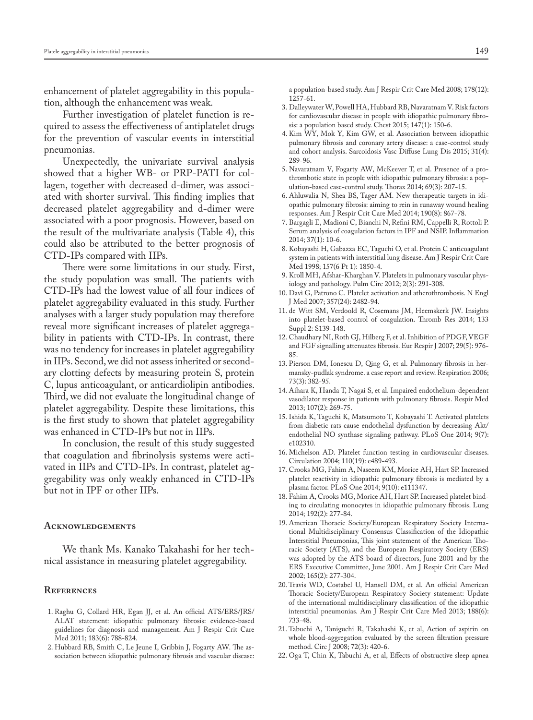enhancement of platelet aggregability in this population, although the enhancement was weak.

Further investigation of platelet function is required to assess the effectiveness of antiplatelet drugs for the prevention of vascular events in interstitial pneumonias.

Unexpectedly, the univariate survival analysis showed that a higher WB- or PRP-PATI for collagen, together with decreased d-dimer, was associated with shorter survival. This finding implies that decreased platelet aggregability and d-dimer were associated with a poor prognosis. However, based on the result of the multivariate analysis (Table 4), this could also be attributed to the better prognosis of CTD-IPs compared with IIPs.

There were some limitations in our study. First, the study population was small. The patients with CTD-IPs had the lowest value of all four indices of platelet aggregability evaluated in this study. Further analyses with a larger study population may therefore reveal more significant increases of platelet aggregability in patients with CTD-IPs. In contrast, there was no tendency for increases in platelet aggregability in IIPs. Second, we did not assess inherited or secondary clotting defects by measuring protein S, protein C, lupus anticoagulant, or anticardiolipin antibodies. Third, we did not evaluate the longitudinal change of platelet aggregability. Despite these limitations, this is the first study to shown that platelet aggregability was enhanced in CTD-IPs but not in IIPs.

In conclusion, the result of this study suggested that coagulation and fibrinolysis systems were activated in IIPs and CTD-IPs. In contrast, platelet aggregability was only weakly enhanced in CTD-IPs but not in IPF or other IIPs.

#### **Acknowledgements**

We thank Ms. Kanako Takahashi for her technical assistance in measuring platelet aggregability.

### **References**

- 1. Raghu G, Collard HR, Egan JJ, et al. An official ATS/ERS/JRS/ ALAT statement: idiopathic pulmonary fibrosis: evidence-based guidelines for diagnosis and management. Am J Respir Crit Care Med 2011; 183(6): 788-824.
- 2. Hubbard RB, Smith C, Le Jeune I, Gribbin J, Fogarty AW. The association between idiopathic pulmonary fibrosis and vascular disease:

a population-based study. Am J Respir Crit Care Med 2008; 178(12): 1257-61.

- 3. Dalleywater W, Powell HA, Hubbard RB, Navaratnam V. Risk factors for cardiovascular disease in people with idiopathic pulmonary fibrosis: a population based study. Chest 2015; 147(1): 150-6.
- 4. Kim WY, Mok Y, Kim GW, et al. Association between idiopathic pulmonary fibrosis and coronary artery disease: a case-control study and cohort analysis. Sarcoidosis Vasc Diffuse Lung Dis 2015; 31(4): 289-96.
- 5. Navaratnam V, Fogarty AW, McKeever T, et al. Presence of a prothrombotic state in people with idiopathic pulmonary fibrosis: a population-based case-control study. Thorax 2014; 69(3): 207-15.
- 6. Ahluwalia N, Shea BS, Tager AM. New therapeutic targets in idiopathic pulmonary fibrosis: aiming to rein in runaway wound healing responses. Am J Respir Crit Care Med 2014; 190(8): 867-78.
- 7. Bargagli E, Madioni C, Bianchi N, Refini RM, Cappelli R, Rottoli P. Serum analysis of coagulation factors in IPF and NSIP. Inflammation 2014; 37(1): 10-6.
- 8. Kobayashi H, Gabazza EC, Taguchi O, et al. Protein C anticoagulant system in patients with interstitial lung disease. Am J Respir Crit Care Med 1998; 157(6 Pt 1): 1850-4.
- 9. Kroll MH, Afshar-Kharghan V. Platelets in pulmonary vascular physiology and pathology. Pulm Circ 2012; 2(3): 291-308.
- 10. Davì G, Patrono C. Platelet activation and atherothrombosis. N Engl J Med 2007; 357(24): 2482-94.
- 11. de Witt SM, Verdoold R, Cosemans JM, Heemskerk JW. Insights into platelet-based control of coagulation. Thromb Res 2014; 133 Suppl 2: S139-148.
- 12. Chaudhary NI, Roth GJ, Hilberg F, et al. Inhibition of PDGF, VEGF and FGF signalling attenuates fibrosis. Eur Respir J 2007; 29(5): 976- 85.
- 13. Pierson DM, Ionescu D, Qing G, et al. Pulmonary fibrosis in hermansky-pudlak syndrome. a case report and review. Respiration 2006; 73(3): 382-95.
- 14. Aihara K, Handa T, Nagai S, et al. Impaired endothelium-dependent vasodilator response in patients with pulmonary fibrosis. Respir Med 2013; 107(2): 269-75.
- 15. Ishida K, Taguchi K, Matsumoto T, Kobayashi T. Activated platelets from diabetic rats cause endothelial dysfunction by decreasing Akt/ endothelial NO synthase signaling pathway. PLoS One 2014; 9(7): e102310.
- 16. Michelson AD. Platelet function testing in cardiovascular diseases. Circulation 2004; 110(19): e489-493.
- 17. Crooks MG, Fahim A, Naseem KM, Morice AH, Hart SP. Increased platelet reactivity in idiopathic pulmonary fibrosis is mediated by a plasma factor. PLoS One 2014; 9(10): e111347.
- 18. Fahim A, Crooks MG, Morice AH, Hart SP. Increased platelet binding to circulating monocytes in idiopathic pulmonary fibrosis. Lung 2014; 192(2): 277-84.
- 19. American Thoracic Society/European Respiratory Society International Multidisciplinary Consensus Classification of the Idiopathic Interstitial Pneumonias, This joint statement of the American Thoracic Society (ATS), and the European Respiratory Society (ERS) was adopted by the ATS board of directors, June 2001 and by the ERS Executive Committee, June 2001. Am J Respir Crit Care Med 2002; 165(2): 277-304.
- 20. Travis WD, Costabel U, Hansell DM, et al. An official American Thoracic Society/European Respiratory Society statement: Update of the international multidisciplinary classification of the idiopathic interstitial pneumonias. Am J Respir Crit Care Med 2013; 188(6): 733-48.
- 21. Tabuchi A, Taniguchi R, Takahashi K, et al, Action of aspirin on whole blood-aggregation evaluated by the screen filtration pressure method. Circ J 2008; 72(3): 420-6.
- 22. Oga T, Chin K, Tabuchi A, et al, Effects of obstructive sleep apnea